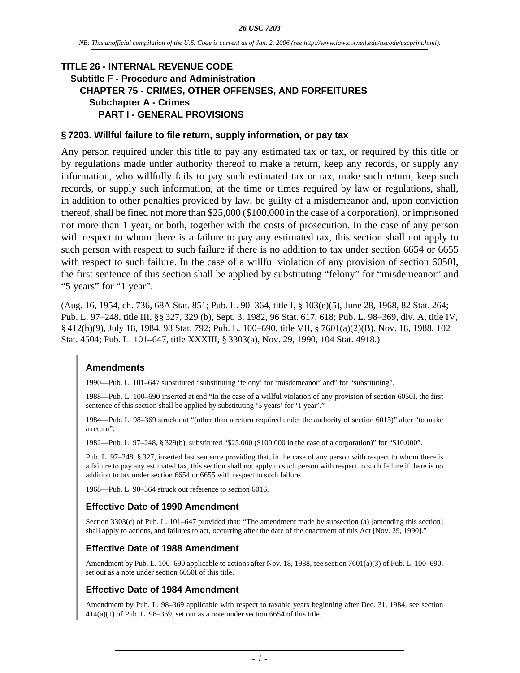# **TITLE 26 - INTERNAL REVENUE CODE Subtitle F - Procedure and Administration CHAPTER 75 - CRIMES, OTHER OFFENSES, AND FORFEITURES Subchapter A - Crimes PART I - GENERAL PROVISIONS**

#### **§ 7203. Willful failure to file return, supply information, or pay tax**

Any person required under this title to pay any estimated tax or tax, or required by this title or by regulations made under authority thereof to make a return, keep any records, or supply any information, who willfully fails to pay such estimated tax or tax, make such return, keep such records, or supply such information, at the time or times required by law or regulations, shall, in addition to other penalties provided by law, be guilty of a misdemeanor and, upon conviction thereof, shall be fined not more than \$25,000 (\$100,000 in the case of a corporation), or imprisoned not more than 1 year, or both, together with the costs of prosecution. In the case of any person with respect to whom there is a failure to pay any estimated tax, this section shall not apply to such person with respect to such failure if there is no addition to tax under section 6654 or 6655 with respect to such failure. In the case of a willful violation of any provision of section 6050I, the first sentence of this section shall be applied by substituting "felony" for "misdemeanor" and "5 years" for "1 year".

(Aug. 16, 1954, ch. 736, 68A Stat. 851; Pub. L. 90–364, title I, § 103(e)(5), June 28, 1968, 82 Stat. 264; Pub. L. 97–248, title III, §§ 327, 329 (b), Sept. 3, 1982, 96 Stat. 617, 618; Pub. L. 98–369, div. A, title IV, § 412(b)(9), July 18, 1984, 98 Stat. 792; Pub. L. 100–690, title VII, § 7601(a)(2)(B), Nov. 18, 1988, 102 Stat. 4504; Pub. L. 101–647, title XXXIII, § 3303(a), Nov. 29, 1990, 104 Stat. 4918.)

# **Amendments**

1990—Pub. L. 101–647 substituted "substituting 'felony' for 'misdemeanor' and" for "substituting".

1988—Pub. L. 100–690 inserted at end "In the case of a willful violation of any provision of section 6050I, the first sentence of this section shall be applied by substituting '5 years' for '1 year'."

1984—Pub. L. 98–369 struck out "(other than a return required under the authority of section 6015)" after "to make a return".

1982—Pub. L. 97–248, § 329(b), substituted "\$25,000 (\$100,000 in the case of a corporation)" for "\$10,000".

Pub. L. 97–248, § 327, inserted last sentence providing that, in the case of any person with respect to whom there is a failure to pay any estimated tax, this section shall not apply to such person with respect to such failure if there is no addition to tax under section 6654 or 6655 with respect to such failure.

1968—Pub. L. 90–364 struck out reference to section 6016.

### **Effective Date of 1990 Amendment**

Section 3303(c) of Pub. L. 101–647 provided that: "The amendment made by subsection (a) [amending this section] shall apply to actions, and failures to act, occurring after the date of the enactment of this Act [Nov. 29, 1990]."

#### **Effective Date of 1988 Amendment**

Amendment by Pub. L. 100–690 applicable to actions after Nov. 18, 1988, see section 7601(a)(3) of Pub. L. 100–690, set out as a note under section 6050I of this title.

#### **Effective Date of 1984 Amendment**

Amendment by Pub. L. 98–369 applicable with respect to taxable years beginning after Dec. 31, 1984, see section  $414(a)(1)$  of Pub. L. 98–369, set out as a note under section 6654 of this title.